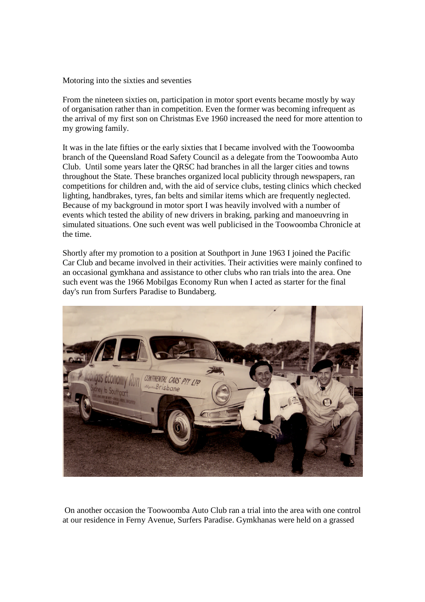Motoring into the sixties and seventies

From the nineteen sixties on, participation in motor sport events became mostly by way of organisation rather than in competition. Even the former was becoming infrequent as the arrival of my first son on Christmas Eve 1960 increased the need for more attention to my growing family.

It was in the late fifties or the early sixties that I became involved with the Toowoomba branch of the Queensland Road Safety Council as a delegate from the Toowoomba Auto Club. Until some years later the QRSC had branches in all the larger cities and towns throughout the State. These branches organized local publicity through newspapers, ran competitions for children and, with the aid of service clubs, testing clinics which checked lighting, handbrakes, tyres, fan belts and similar items which are frequently neglected. Because of my background in motor sport I was heavily involved with a number of events which tested the ability of new drivers in braking, parking and manoeuvring in simulated situations. One such event was well publicised in the Toowoomba Chronicle at the time.

Shortly after my promotion to a position at Southport in June 1963 I joined the Pacific Car Club and became involved in their activities. Their activities were mainly confined to an occasional gymkhana and assistance to other clubs who ran trials into the area. One such event was the 1966 Mobilgas Economy Run when I acted as starter for the final day's run from Surfers Paradise to Bundaberg.



On another occasion the Toowoomba Auto Club ran a trial into the area with one control at our residence in Ferny Avenue, Surfers Paradise. Gymkhanas were held on a grassed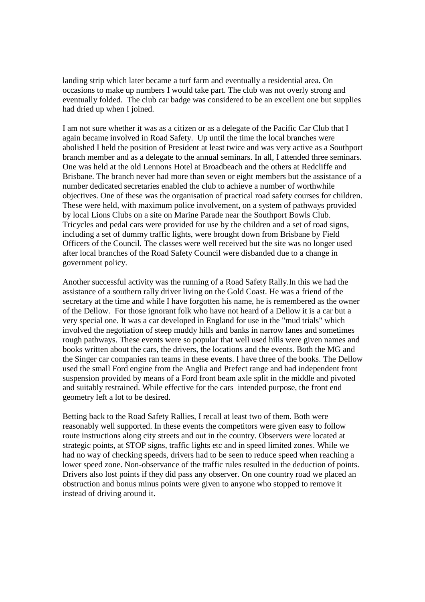landing strip which later became a turf farm and eventually a residential area. On occasions to make up numbers I would take part. The club was not overly strong and eventually folded. The club car badge was considered to be an excellent one but supplies had dried up when I joined.

I am not sure whether it was as a citizen or as a delegate of the Pacific Car Club that I again became involved in Road Safety. Up until the time the local branches were abolished I held the position of President at least twice and was very active as a Southport branch member and as a delegate to the annual seminars. In all, I attended three seminars. One was held at the old Lennons Hotel at Broadbeach and the others at Redcliffe and Brisbane. The branch never had more than seven or eight members but the assistance of a number dedicated secretaries enabled the club to achieve a number of worthwhile objectives. One of these was the organisation of practical road safety courses for children. These were held, with maximum police involvement, on a system of pathways provided by local Lions Clubs on a site on Marine Parade near the Southport Bowls Club. Tricycles and pedal cars were provided for use by the children and a set of road signs, including a set of dummy traffic lights, were brought down from Brisbane by Field Officers of the Council. The classes were well received but the site was no longer used after local branches of the Road Safety Council were disbanded due to a change in government policy.

Another successful activity was the running of a Road Safety Rally.In this we had the assistance of a southern rally driver living on the Gold Coast. He was a friend of the secretary at the time and while I have forgotten his name, he is remembered as the owner of the Dellow. For those ignorant folk who have not heard of a Dellow it is a car but a very special one. It was a car developed in England for use in the "mud trials" which involved the negotiation of steep muddy hills and banks in narrow lanes and sometimes rough pathways. These events were so popular that well used hills were given names and books written about the cars, the drivers, the locations and the events. Both the MG and the Singer car companies ran teams in these events. I have three of the books. The Dellow used the small Ford engine from the Anglia and Prefect range and had independent front suspension provided by means of a Ford front beam axle split in the middle and pivoted and suitably restrained. While effective for the cars intended purpose, the front end geometry left a lot to be desired.

Betting back to the Road Safety Rallies, I recall at least two of them. Both were reasonably well supported. In these events the competitors were given easy to follow route instructions along city streets and out in the country. Observers were located at strategic points, at STOP signs, traffic lights etc and in speed limited zones. While we had no way of checking speeds, drivers had to be seen to reduce speed when reaching a lower speed zone. Non-observance of the traffic rules resulted in the deduction of points. Drivers also lost points if they did pass any observer. On one country road we placed an obstruction and bonus minus points were given to anyone who stopped to remove it instead of driving around it.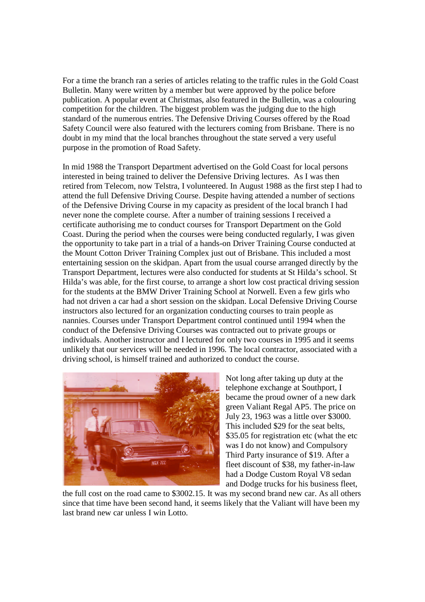For a time the branch ran a series of articles relating to the traffic rules in the Gold Coast Bulletin. Many were written by a member but were approved by the police before publication. A popular event at Christmas, also featured in the Bulletin, was a colouring competition for the children. The biggest problem was the judging due to the high standard of the numerous entries. The Defensive Driving Courses offered by the Road Safety Council were also featured with the lecturers coming from Brisbane. There is no doubt in my mind that the local branches throughout the state served a very useful purpose in the promotion of Road Safety.

In mid 1988 the Transport Department advertised on the Gold Coast for local persons interested in being trained to deliver the Defensive Driving lectures. As I was then retired from Telecom, now Telstra, I volunteered. In August 1988 as the first step I had to attend the full Defensive Driving Course. Despite having attended a number of sections of the Defensive Driving Course in my capacity as president of the local branch I had never none the complete course. After a number of training sessions I received a certificate authorising me to conduct courses for Transport Department on the Gold Coast. During the period when the courses were being conducted regularly, I was given the opportunity to take part in a trial of a hands-on Driver Training Course conducted at the Mount Cotton Driver Training Complex just out of Brisbane. This included a most entertaining session on the skidpan. Apart from the usual course arranged directly by the Transport Department, lectures were also conducted for students at St Hilda's school. St Hilda's was able, for the first course, to arrange a short low cost practical driving session for the students at the BMW Driver Training School at Norwell. Even a few girls who had not driven a car had a short session on the skidpan. Local Defensive Driving Course instructors also lectured for an organization conducting courses to train people as nannies. Courses under Transport Department control continued until 1994 when the conduct of the Defensive Driving Courses was contracted out to private groups or individuals. Another instructor and I lectured for only two courses in 1995 and it seems unlikely that our services will be needed in 1996. The local contractor, associated with a driving school, is himself trained and authorized to conduct the course.



Not long after taking up duty at the telephone exchange at Southport, I became the proud owner of a new dark green Valiant Regal AP5. The price on July 23, 1963 was a little over \$3000. This included \$29 for the seat belts, \$35.05 for registration etc (what the etc) was I do not know) and Compulsory Third Party insurance of \$19. After a fleet discount of \$38, my father-in-law had a Dodge Custom Royal V8 sedan and Dodge trucks for his business fleet,

the full cost on the road came to \$3002.15. It was my second brand new car. As all others since that time have been second hand, it seems likely that the Valiant will have been my last brand new car unless I win Lotto.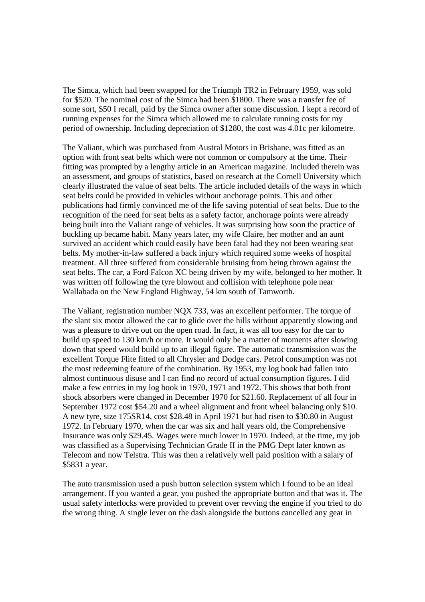The Simca, which had been swapped for the Triumph TR2 in February 1959, was sold for \$520. The nominal cost of the Simca had been \$1800. There was a transfer fee of some sort, \$50 I recall, paid by the Simca owner after some discussion. I kept a record of running expenses for the Simca which allowed me to calculate running costs for my period of ownership. Including depreciation of \$1280, the cost was 4.01c per kilometre.

The Valiant, which was purchased from Austral Motors in Brisbane, was fitted as an option with front seat belts which were not common or compulsory at the time. Their fitting was prompted by a lengthy article in an American magazine. Included therein was an assessment, and groups of statistics, based on research at the Cornell University which clearly illustrated the value of seat belts. The article included details of the ways in which seat belts could be provided in vehicles without anchorage points. This and other publications had firmly convinced me of the life saving potential of seat belts. Due to the recognition of the need for seat belts as a safety factor, anchorage points were already being built into the Valiant range of vehicles. It was surprising how soon the practice of buckling up became habit. Many years later, my wife Claire, her mother and an aunt survived an accident which could easily have been fatal had they not been wearing seat belts. My mother-in-law suffered a back injury which required some weeks of hospital treatment. All three suffered from considerable bruising from being thrown against the seat belts. The car, a Ford Falcon XC being driven by my wife, belonged to her mother. It was written off following the tyre blowout and collision with telephone pole near Wallabada on the New England Highway, 54 km south of Tamworth.

The Valiant, registration number NQX 733, was an excellent performer. The torque of the slant six motor allowed the car to glide over the hills without apparently slowing and was a pleasure to drive out on the open road. In fact, it was all too easy for the car to build up speed to 130 km/h or more. It would only be a matter of moments after slowing down that speed would build up to an illegal figure. The automatic transmission was the excellent Torque Flite fitted to all Chrysler and Dodge cars. Petrol consumption was not the most redeeming feature of the combination. By 1953, my log book had fallen into almost continuous disuse and I can find no record of actual consumption figures. I did make a few entries in my log book in 1970, 1971 and 1972. This shows that both front shock absorbers were changed in December 1970 for \$21.60. Replacement of all four in September 1972 cost \$54.20 and a wheel alignment and front wheel balancing only \$10. A new tyre, size 175SR14, cost \$28.48 in April 1971 but had risen to \$30.80 in August 1972. In February 1970, when the car was six and half years old, the Comprehensive Insurance was only \$29.45. Wages were much lower in 1970. Indeed, at the time, my job was classified as a Supervising Technician Grade II in the PMG Dept later known as Telecom and now Telstra. This was then a relatively well paid position with a salary of \$5831 a year.

The auto transmission used a push button selection system which I found to be an ideal arrangement. If you wanted a gear, you pushed the appropriate button and that was it. The usual safety interlocks were provided to prevent over revving the engine if you tried to do the wrong thing. A single lever on the dash alongside the buttons cancelled any gear in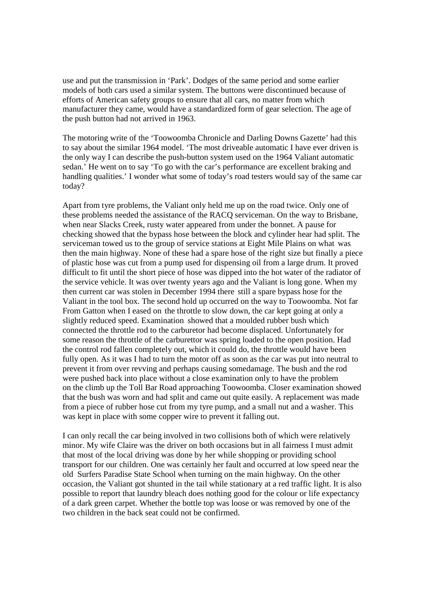use and put the transmission in 'Park'. Dodges of the same period and some earlier models of both cars used a similar system. The buttons were discontinued because of efforts of American safety groups to ensure that all cars, no matter from which manufacturer they came, would have a standardized form of gear selection. The age of the push button had not arrived in 1963.

The motoring write of the 'Toowoomba Chronicle and Darling Downs Gazette' had this to say about the similar 1964 model. 'The most driveable automatic I have ever driven is the only way I can describe the push-button system used on the 1964 Valiant automatic sedan.' He went on to say 'To go with the car's performance are excellent braking and handling qualities.' I wonder what some of today's road testers would say of the same car today?

Apart from tyre problems, the Valiant only held me up on the road twice. Only one of these problems needed the assistance of the RACQ serviceman. On the way to Brisbane, when near Slacks Creek, rusty water appeared from under the bonnet. A pause for checking showed that the bypass hose between the block and cylinder hear had split. The serviceman towed us to the group of service stations at Eight Mile Plains on what was then the main highway. None of these had a spare hose of the right size but finally a piece of plastic hose was cut from a pump used for dispensing oil from a large drum. It proved difficult to fit until the short piece of hose was dipped into the hot water of the radiator of the service vehicle. It was over twenty years ago and the Valiant is long gone. When my then current car was stolen in December 1994 there still a spare bypass hose for the Valiant in the tool box. The second hold up occurred on the way to Toowoomba. Not far From Gatton when I eased on the throttle to slow down, the car kept going at only a slightly reduced speed. Examination showed that a moulded rubber bush which connected the throttle rod to the carburetor had become displaced. Unfortunately for some reason the throttle of the carburettor was spring loaded to the open position. Had the control rod fallen completely out, which it could do, the throttle would have been fully open. As it was I had to turn the motor off as soon as the car was put into neutral to prevent it from over revving and perhaps causing somedamage. The bush and the rod were pushed back into place without a close examination only to have the problem on the climb up the Toll Bar Road approaching Toowoomba. Closer examination showed that the bush was worn and had split and came out quite easily. A replacement was made from a piece of rubber hose cut from my tyre pump, and a small nut and a washer. This was kept in place with some copper wire to prevent it falling out.

I can only recall the car being involved in two collisions both of which were relatively minor. My wife Claire was the driver on both occasions but in all fairness I must admit that most of the local driving was done by her while shopping or providing school transport for our children. One was certainly her fault and occurred at low speed near the old Surfers Paradise State School when turning on the main highway. On the other occasion, the Valiant got shunted in the tail while stationary at a red traffic light. It is also possible to report that laundry bleach does nothing good for the colour or life expectancy of a dark green carpet. Whether the bottle top was loose or was removed by one of the two children in the back seat could not be confirmed.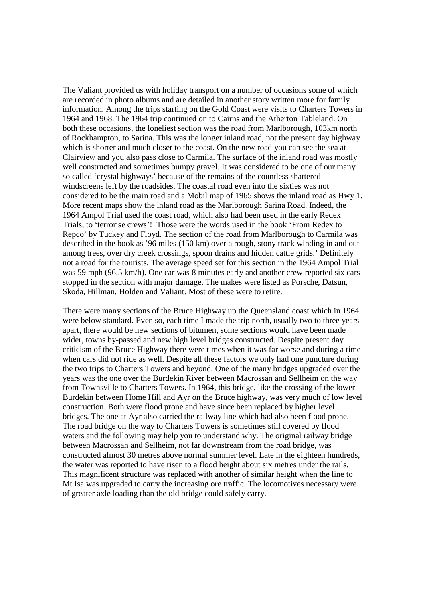The Valiant provided us with holiday transport on a number of occasions some of which are recorded in photo albums and are detailed in another story written more for family information. Among the trips starting on the Gold Coast were visits to Charters Towers in 1964 and 1968. The 1964 trip continued on to Cairns and the Atherton Tableland. On both these occasions, the loneliest section was the road from Marlborough, 103km north of Rockhampton, to Sarina. This was the longer inland road, not the present day highway which is shorter and much closer to the coast. On the new road you can see the sea at Clairview and you also pass close to Carmila. The surface of the inland road was mostly well constructed and sometimes bumpy gravel. It was considered to be one of our many so called 'crystal highways' because of the remains of the countless shattered windscreens left by the roadsides. The coastal road even into the sixties was not considered to be the main road and a Mobil map of 1965 shows the inland road as Hwy 1. More recent maps show the inland road as the Marlborough Sarina Road. Indeed, the 1964 Ampol Trial used the coast road, which also had been used in the early Redex Trials, to 'terrorise crews'! Those were the words used in the book 'From Redex to Repco' by Tuckey and Floyd. The section of the road from Marlborough to Carmila was described in the book as '96 miles (150 km) over a rough, stony track winding in and out among trees, over dry creek crossings, spoon drains and hidden cattle grids.' Definitely not a road for the tourists. The average speed set for this section in the 1964 Ampol Trial was 59 mph (96.5 km/h). One car was 8 minutes early and another crew reported six cars stopped in the section with major damage. The makes were listed as Porsche, Datsun, Skoda, Hillman, Holden and Valiant. Most of these were to retire.

There were many sections of the Bruce Highway up the Queensland coast which in 1964 were below standard. Even so, each time I made the trip north, usually two to three years apart, there would be new sections of bitumen, some sections would have been made wider, towns by-passed and new high level bridges constructed. Despite present day criticism of the Bruce Highway there were times when it was far worse and during a time when cars did not ride as well. Despite all these factors we only had one puncture during the two trips to Charters Towers and beyond. One of the many bridges upgraded over the years was the one over the Burdekin River between Macrossan and Sellheim on the way from Townsville to Charters Towers. In 1964, this bridge, like the crossing of the lower Burdekin between Home Hill and Ayr on the Bruce highway, was very much of low level construction. Both were flood prone and have since been replaced by higher level bridges. The one at Ayr also carried the railway line which had also been flood prone. The road bridge on the way to Charters Towers is sometimes still covered by flood waters and the following may help you to understand why. The original railway bridge between Macrossan and Sellheim, not far downstream from the road bridge, was constructed almost 30 metres above normal summer level. Late in the eighteen hundreds, the water was reported to have risen to a flood height about six metres under the rails. This magnificent structure was replaced with another of similar height when the line to Mt Isa was upgraded to carry the increasing ore traffic. The locomotives necessary were of greater axle loading than the old bridge could safely carry.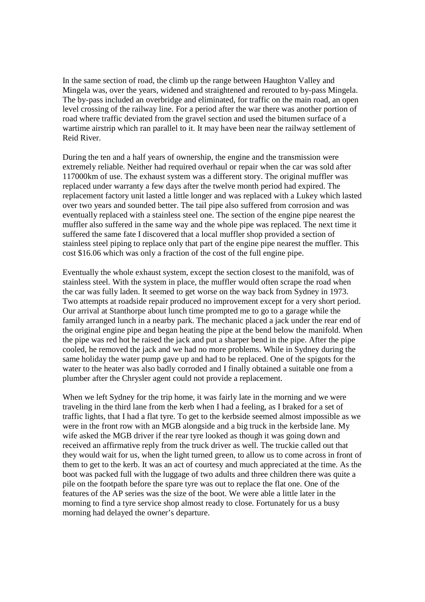In the same section of road, the climb up the range between Haughton Valley and Mingela was, over the years, widened and straightened and rerouted to by-pass Mingela. The by-pass included an overbridge and eliminated, for traffic on the main road, an open level crossing of the railway line. For a period after the war there was another portion of road where traffic deviated from the gravel section and used the bitumen surface of a wartime airstrip which ran parallel to it. It may have been near the railway settlement of Reid River.

During the ten and a half years of ownership, the engine and the transmission were extremely reliable. Neither had required overhaul or repair when the car was sold after 117000km of use. The exhaust system was a different story. The original muffler was replaced under warranty a few days after the twelve month period had expired. The replacement factory unit lasted a little longer and was replaced with a Lukey which lasted over two years and sounded better. The tail pipe also suffered from corrosion and was eventually replaced with a stainless steel one. The section of the engine pipe nearest the muffler also suffered in the same way and the whole pipe was replaced. The next time it suffered the same fate I discovered that a local muffler shop provided a section of stainless steel piping to replace only that part of the engine pipe nearest the muffler. This cost \$16.06 which was only a fraction of the cost of the full engine pipe.

Eventually the whole exhaust system, except the section closest to the manifold, was of stainless steel. With the system in place, the muffler would often scrape the road when the car was fully laden. It seemed to get worse on the way back from Sydney in 1973. Two attempts at roadside repair produced no improvement except for a very short period. Our arrival at Stanthorpe about lunch time prompted me to go to a garage while the family arranged lunch in a nearby park. The mechanic placed a jack under the rear end of the original engine pipe and began heating the pipe at the bend below the manifold. When the pipe was red hot he raised the jack and put a sharper bend in the pipe. After the pipe cooled, he removed the jack and we had no more problems. While in Sydney during the same holiday the water pump gave up and had to be replaced. One of the spigots for the water to the heater was also badly corroded and I finally obtained a suitable one from a plumber after the Chrysler agent could not provide a replacement.

When we left Sydney for the trip home, it was fairly late in the morning and we were traveling in the third lane from the kerb when I had a feeling, as I braked for a set of traffic lights, that I had a flat tyre. To get to the kerbside seemed almost impossible as we were in the front row with an MGB alongside and a big truck in the kerbside lane. My wife asked the MGB driver if the rear tyre looked as though it was going down and received an affirmative reply from the truck driver as well. The truckie called out that they would wait for us, when the light turned green, to allow us to come across in front of them to get to the kerb. It was an act of courtesy and much appreciated at the time. As the boot was packed full with the luggage of two adults and three children there was quite a pile on the footpath before the spare tyre was out to replace the flat one. One of the features of the AP series was the size of the boot. We were able a little later in the morning to find a tyre service shop almost ready to close. Fortunately for us a busy morning had delayed the owner's departure.